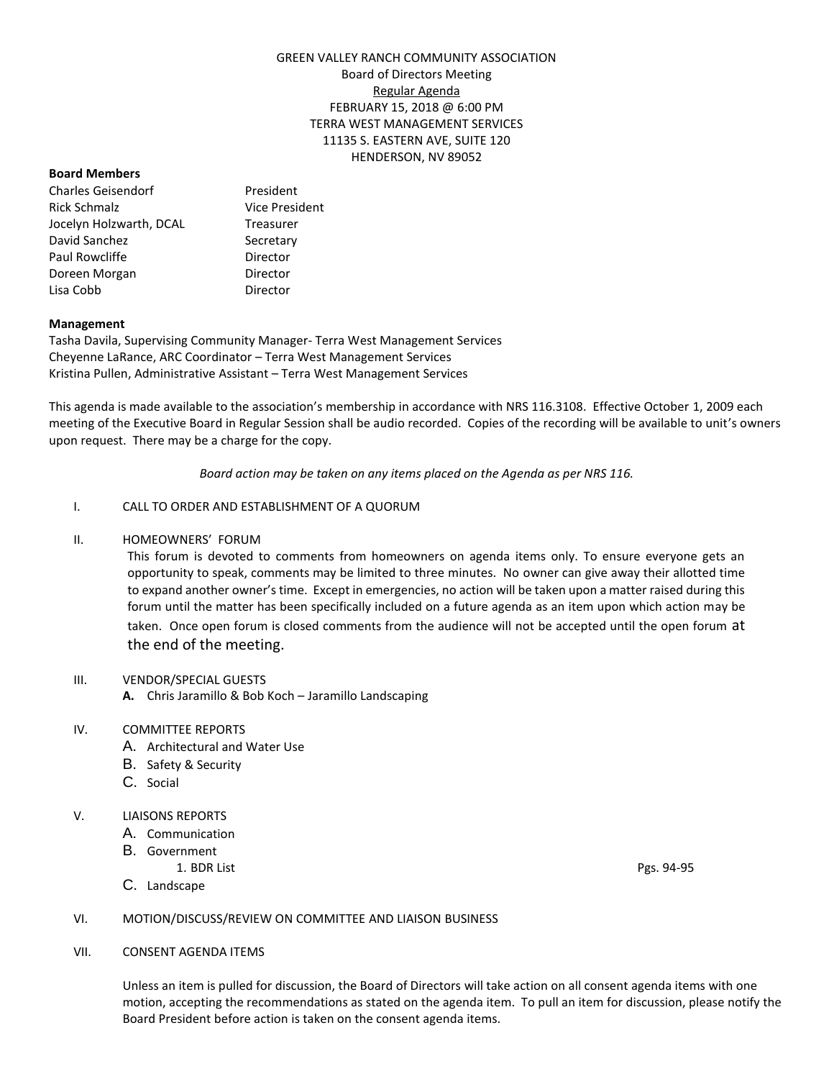# GREEN VALLEY RANCH COMMUNITY ASSOCIATION Board of Directors Meeting Regular Agenda FEBRUARY 15, 2018 @ 6:00 PM TERRA WEST MANAGEMENT SERVICES 11135 S. EASTERN AVE, SUITE 120 HENDERSON, NV 89052

#### **Board Members**

Charles Geisendorf President Rick Schmalz **Vice President** Jocelyn Holzwarth, DCAL Treasurer David Sanchez Secretary Paul Rowcliffe **Director** Doreen Morgan **Director** Lisa Cobb Director

## **Management**

Tasha Davila, Supervising Community Manager- Terra West Management Services Cheyenne LaRance, ARC Coordinator – Terra West Management Services Kristina Pullen, Administrative Assistant – Terra West Management Services

This agenda is made available to the association's membership in accordance with NRS 116.3108. Effective October 1, 2009 each meeting of the Executive Board in Regular Session shall be audio recorded. Copies of the recording will be available to unit's owners upon request. There may be a charge for the copy.

*Board action may be taken on any items placed on the Agenda as per NRS 116.*

# I. CALL TO ORDER AND ESTABLISHMENT OF A QUORUM

## II. HOMEOWNERS' FORUM

This forum is devoted to comments from homeowners on agenda items only. To ensure everyone gets an opportunity to speak, comments may be limited to three minutes. No owner can give away their allotted time to expand another owner's time. Except in emergencies, no action will be taken upon a matter raised during this forum until the matter has been specifically included on a future agenda as an item upon which action may be taken. Once open forum is closed comments from the audience will not be accepted until the open forum at the end of the meeting.

#### III. VENDOR/SPECIAL GUESTS

**A.** Chris Jaramillo & Bob Koch – Jaramillo Landscaping

#### IV. COMMITTEE REPORTS

- A. Architectural and Water Use
- B. Safety & Security
- C. Social

#### V. LIAISONS REPORTS

- A. Communication
- B. Government
	- 1. BDR List Pgs. 94-95
- C. Landscape

## VI. MOTION/DISCUSS/REVIEW ON COMMITTEE AND LIAISON BUSINESS

## VII. CONSENT AGENDA ITEMS

Unless an item is pulled for discussion, the Board of Directors will take action on all consent agenda items with one motion, accepting the recommendations as stated on the agenda item. To pull an item for discussion, please notify the Board President before action is taken on the consent agenda items.